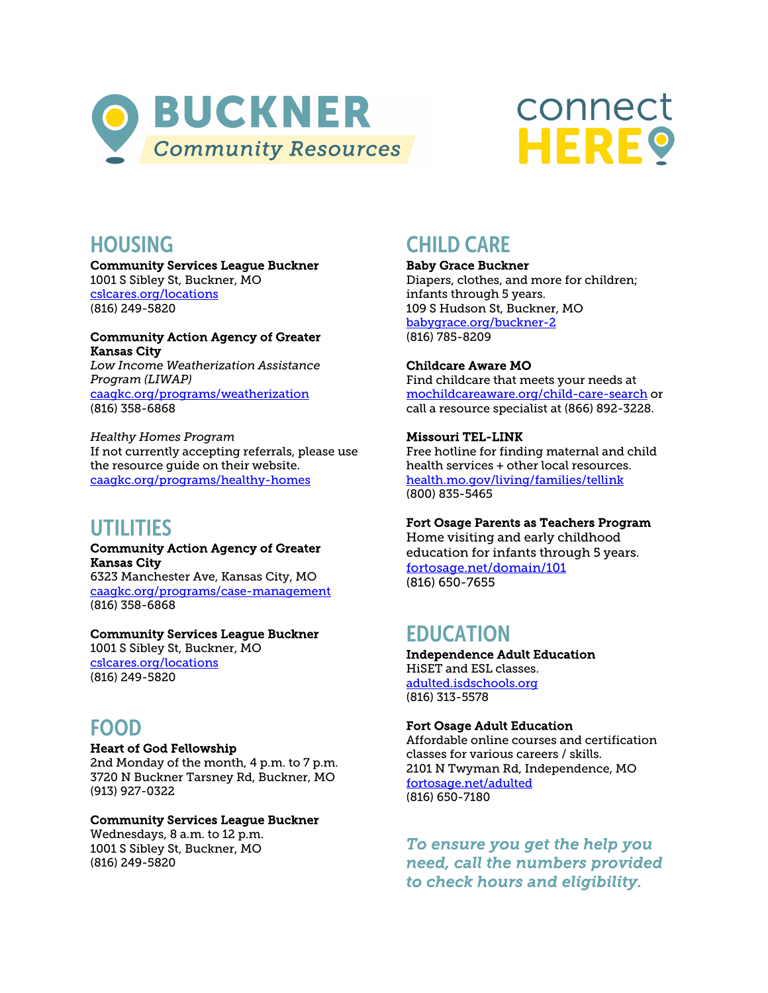



## **HOUSING**

 Community Services League Buckner 1001 S Sibley St, Buckner, MO <u>cslcares.org/locations</u><br>(816) 249-5820

### Community Action Agency of Greater Kansas City

 *Low Income Weatherization Assistance Program (LIWAP)*  [caagkc.org/programs/weatherization](https://caagkc.org/programs/weatherization/)  (816) 358-6868

 *Healthy Homes Program*  If not currently accepting referrals, please use the resource guide on their website. [caagkc.org/programs/healthy-homes](https://caagkc.org/programs/healthy-homes/) 

## UTILITIES

#### Community Action Agency of Greater Kansas City

 6323 Manchester Ave, Kansas City, MO [caagkc.org/programs/case-management](https://caagkc.org/programs/case-management/)  (816) 358-6868

### Community Services League Buckner

 1001 S Sibley St, Buckner, MO <u>cslcares.org/locations</u><br>(816) 249-5820

# FOOD

#### Heart of God Fellowship

 2nd Monday of the month, 4 p.m. to 7 p.m. 3720 N Buckner Tarsney Rd, Buckner, MO (913) 927-0322

#### Community Services League Buckner

 Wednesdays, 8 a.m. to 12 p.m. 1001 S Sibley St, Buckner, MO (816) 249-5820

# CHILD CARE

#### Baby Grace Buckner

 Diapers, clothes, and more for children; infants through 5 years. 109 S Hudson St, Buckner, MO <mark>babygrace.org/buckner-2</mark><br>(816) 785-8209

### Childcare Aware MO

 Find childcare that meets your needs at call a resource specialist at (866) 892-3228. [mochildcareaware.org/child-care-search o](https://mochildcareaware.org/child-care-search/)r

### Missouri TEL-LINK

 Free hotline for finding maternal and child health services + other local resources. [health.mo.gov/living/families/tellink](https://health.mo.gov/living/families/tellink/)  (800) 835-5465

#### Fort Osage Parents as Teachers Program

 Home visiting and early childhood education for infants through 5 years. [fortosage.net/domain/101](https://www.fortosage.net/domain/101)  (816) 650-7655

## EDUCATION

 HiSET and ESL classes. <mark>adulted.isdschools.org</mark><br>(816) 313-5578 Independence Adult Education

#### Fort Osage Adult Education

 Affordable online courses and certification classes for various careers / skills. 2101 N Twyman Rd, Independence, MO <u>fortosage.net/adulted</u><br>(816) 650-7180

 *need, call the numbers provided To ensure you get the help you to check hours and eligibility.*